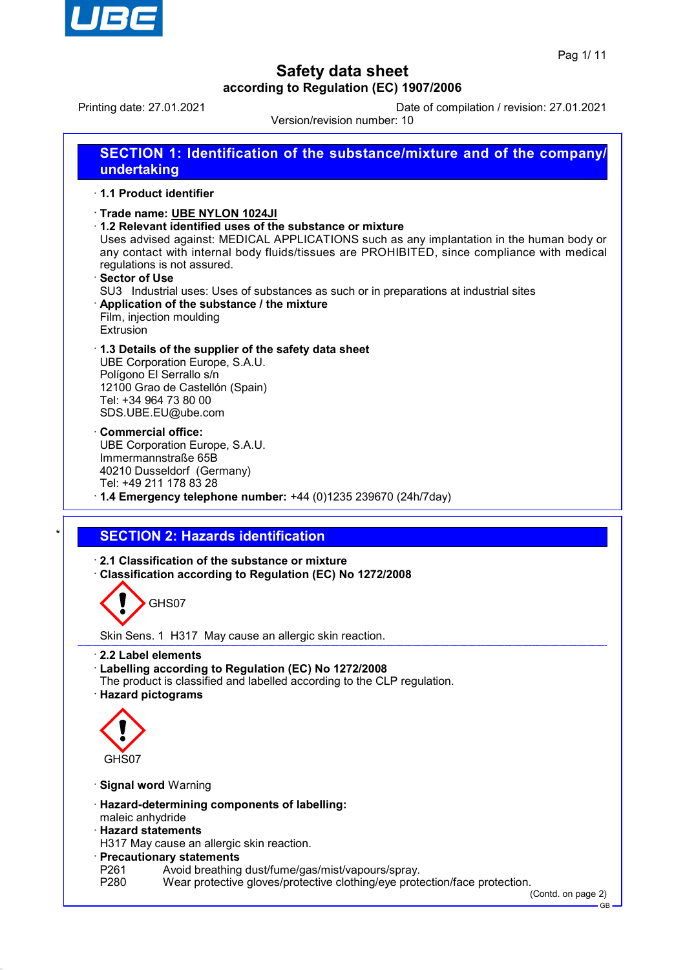

Printing date: 27.01.2021 Date of compilation / revision: 27.01.2021

Version/revision number: 10

| SECTION 1: Identification of the substance/mixture and of the company/<br>undertaking                                                                                                                                                                                                                                                                                                                                                                                                                                  |
|------------------------------------------------------------------------------------------------------------------------------------------------------------------------------------------------------------------------------------------------------------------------------------------------------------------------------------------------------------------------------------------------------------------------------------------------------------------------------------------------------------------------|
| 1.1 Product identifier                                                                                                                                                                                                                                                                                                                                                                                                                                                                                                 |
| Trade name: UBE NYLON 1024JI<br>1.2 Relevant identified uses of the substance or mixture<br>Uses advised against: MEDICAL APPLICATIONS such as any implantation in the human body or<br>any contact with internal body fluids/tissues are PROHIBITED, since compliance with medical<br>regulations is not assured.<br>· Sector of Use<br>SU3 Industrial uses: Uses of substances as such or in preparations at industrial sites<br>Application of the substance / the mixture<br>Film, injection moulding<br>Extrusion |
| 1.3 Details of the supplier of the safety data sheet<br>UBE Corporation Europe, S.A.U.<br>Polígono El Serrallo s/n<br>12100 Grao de Castellón (Spain)<br>Tel: +34 964 73 80 00<br>SDS.UBE.EU@ube.com                                                                                                                                                                                                                                                                                                                   |
| Commercial office:<br>UBE Corporation Europe, S.A.U.<br>Immermannstraße 65B<br>40210 Dusseldorf (Germany)<br>Tel: +49 211 178 83 28<br>$\cdot$ 1.4 Emergency telephone number: +44 (0)1235 239670 (24h/7day)                                                                                                                                                                                                                                                                                                           |
| <b>SECTION 2: Hazards identification</b>                                                                                                                                                                                                                                                                                                                                                                                                                                                                               |
| 2.1 Classification of the substance or mixture<br>Classification according to Regulation (EC) No 1272/2008                                                                                                                                                                                                                                                                                                                                                                                                             |
| GHS07                                                                                                                                                                                                                                                                                                                                                                                                                                                                                                                  |
| Skin Sens. 1 H317 May cause an allergic skin reaction.                                                                                                                                                                                                                                                                                                                                                                                                                                                                 |
| 2.2 Label elements<br>· Labelling according to Regulation (EC) No 1272/2008<br>The product is classified and labelled according to the CLP regulation.<br>· Hazard pictograms                                                                                                                                                                                                                                                                                                                                          |
| GHS07                                                                                                                                                                                                                                                                                                                                                                                                                                                                                                                  |
| · Signal word Warning                                                                                                                                                                                                                                                                                                                                                                                                                                                                                                  |
| · Hazard-determining components of labelling:<br>maleic anhydride<br><b>Hazard statements</b><br>H317 May cause an allergic skin reaction.<br>· Precautionary statements<br>P261<br>Avoid breathing dust/fume/gas/mist/vapours/spray.                                                                                                                                                                                                                                                                                  |
| Wear protective gloves/protective clothing/eye protection/face protection.<br>P280                                                                                                                                                                                                                                                                                                                                                                                                                                     |

(Contd. on page 2)  $-$  GB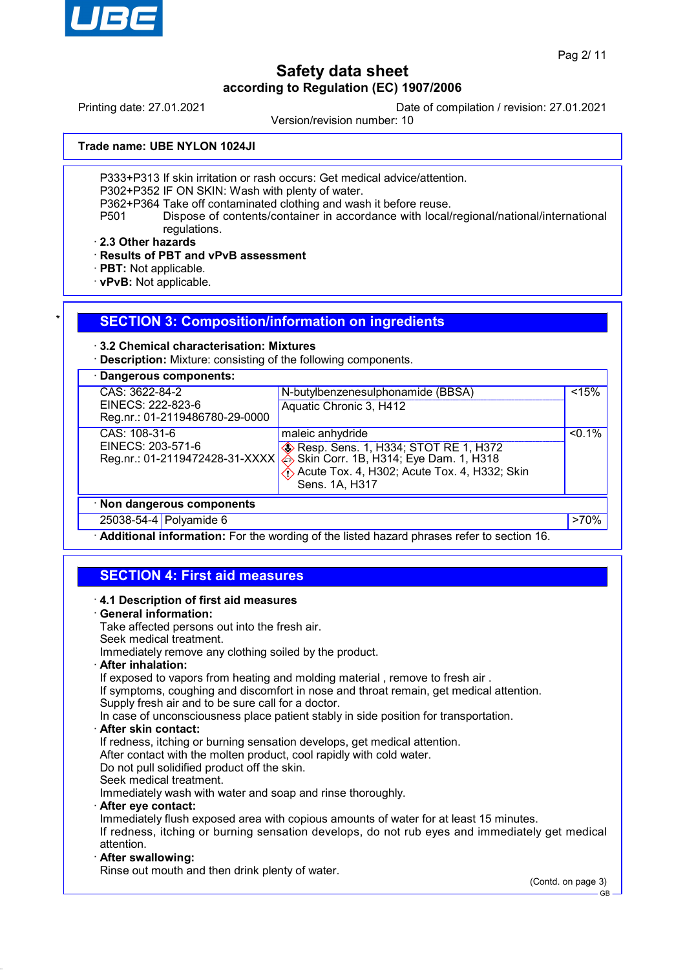

Printing date: 27.01.2021 Date of compilation / revision: 27.01.2021

Version/revision number: 10

**Trade name: UBE NYLON 1024JI**

P333+P313 If skin irritation or rash occurs: Get medical advice/attention.

P302+P352 IF ON SKIN: Wash with plenty of water.

P362+P364 Take off contaminated clothing and wash it before reuse.

P501 Dispose of contents/container in accordance with local/regional/national/international regulations.

· **2.3 Other hazards**

· **Results of PBT and vPvB assessment**

- · **PBT:** Not applicable.
- · **vPvB:** Not applicable.

### **SECTION 3: Composition/information on ingredients**

### · **3.2 Chemical characterisation: Mixtures**

· **Description:** Mixture: consisting of the following components.

| Dangerous components:                               |                                                                                       |           |
|-----------------------------------------------------|---------------------------------------------------------------------------------------|-----------|
| CAS: 3622-84-2                                      | N-butylbenzenesulphonamide (BBSA)                                                     | < 15%     |
| EINECS: 222-823-6<br>Reg.nr.: 01-2119486780-29-0000 | Aquatic Chronic 3, H412                                                               |           |
| CAS: 108-31-6                                       | maleic anhydride                                                                      | $< 0.1\%$ |
| EINECS: 203-571-6                                   | <b>&amp; Resp. Sens. 1, H334; STOT RE 1, H372</b>                                     |           |
| Reg.nr.: 01-2119472428-31-XXXX                      | Skin Corr. 1B, H314; Eye Dam. 1, H318<br>Acute Tox. 4, H302; Acute Tox. 4, H332; Skin |           |
|                                                     | Sens. 1A, H317                                                                        |           |
| · Non dangerous components                          |                                                                                       |           |
| 25038-54-4 Polyamide 6                              |                                                                                       | $>70\%$   |

· **Additional information:** For the wording of the listed hazard phrases refer to section 16.

## **SECTION 4: First aid measures**

· **4.1 Description of first aid measures** · **General information:** Take affected persons out into the fresh air. Seek medical treatment. Immediately remove any clothing soiled by the product. · **After inhalation:** If exposed to vapors from heating and molding material, remove to fresh air. If symptoms, coughing and discomfort in nose and throat remain, get medical attention. Supply fresh air and to be sure call for a doctor. In case of unconsciousness place patient stably in side position for transportation. · **After skin contact:** If redness, itching or burning sensation develops, get medical attention. After contact with the molten product, cool rapidly with cold water. Do not pull solidified product off the skin. Seek medical treatment. Immediately wash with water and soap and rinse thoroughly. · **After eye contact:** Immediately flush exposed area with copious amounts of water for at least 15 minutes. If redness, itching or burning sensation develops, do not rub eyes and immediately get medical attention. · **After swallowing:** Rinse out mouth and then drink plenty of water.

(Contd. on page 3)

GB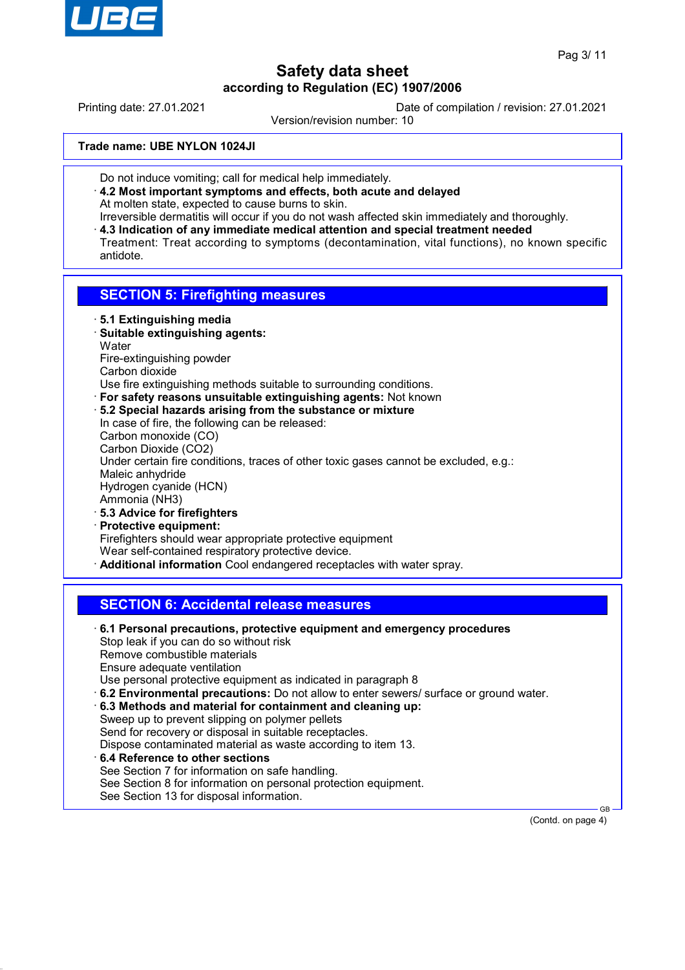

Printing date: 27.01.2021 Date of compilation / revision: 27.01.2021

Version/revision number: 10

**Trade name: UBE NYLON 1024JI**

- Do not induce vomiting; call for medical help immediately.
- · **4.2 Most important symptoms and effects, both acute and delayed** At molten state, expected to cause burns to skin.
- Irreversible dermatitis will occur if you do not wash affected skin immediately and thoroughly. · **4.3 Indication of any immediate medical attention and special treatment needed** Treatment: Treat according to symptoms (decontamination, vital functions), no known specific antidote.

## **SECTION 5: Firefighting measures**

- · **5.1 Extinguishing media**
- · **Suitable extinguishing agents: Water** Fire-extinguishing powder Carbon dioxide
- Use fire extinguishing methods suitable to surrounding conditions.
- · **For safety reasons unsuitable extinguishing agents:** Not known
- · **5.2 Special hazards arising from the substance or mixture** In case of fire, the following can be released: Carbon monoxide (CO) Carbon Dioxide (CO2) Under certain fire conditions, traces of other toxic gases cannot be excluded, e.g.: Maleic anhydride Hydrogen cyanide (HCN) Ammonia (NH3) · **5.3 Advice for firefighters**
- · **Protective equipment:** Firefighters should wear appropriate protective equipment Wear self-contained respiratory protective device. · **Additional information** Cool endangered receptacles with water spray.

## **SECTION 6: Accidental release measures**

· **6.1 Personal precautions, protective equipment and emergency procedures** Stop leak if you can do so without risk Remove combustible materials Ensure adequate ventilation Use personal protective equipment as indicated in paragraph 8 · **6.2 Environmental precautions:** Do not allow to enter sewers/ surface or ground water. · **6.3 Methods and material for containment and cleaning up:** Sweep up to prevent slipping on polymer pellets Send for recovery or disposal in suitable receptacles. Dispose contaminated material as waste according to item 13. · **6.4 Reference to other sections** See Section 7 for information on safe handling. See Section 8 for information on personal protection equipment. See Section 13 for disposal information.

(Contd. on page 4)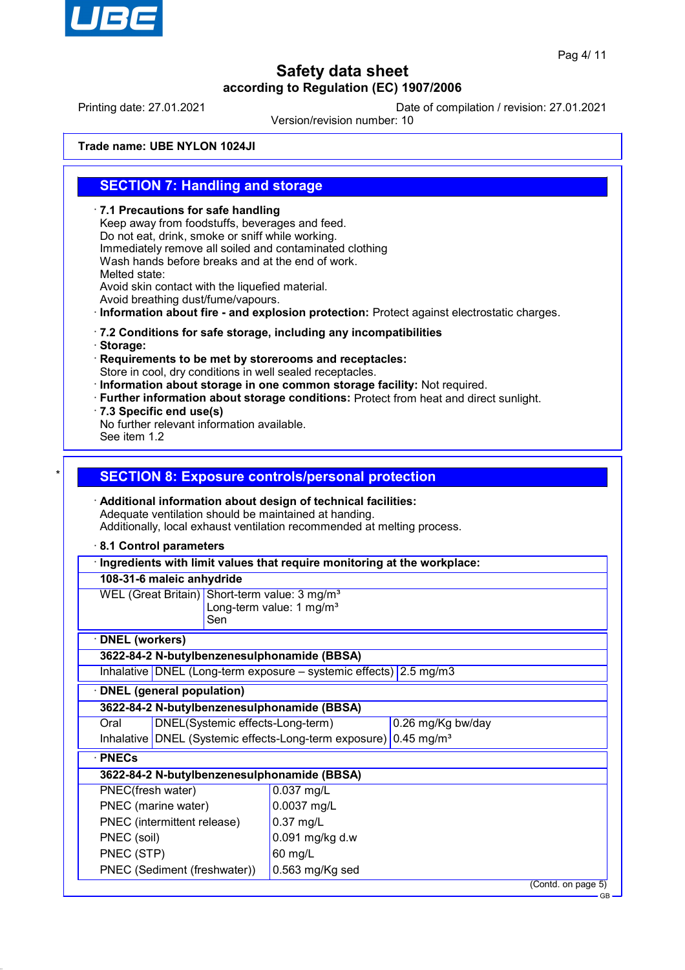

GB

# **Safety data sheet according to Regulation (EC) 1907/2006**

Printing date: 27.01.2021 Date of compilation / revision: 27.01.2021

Version/revision number: 10

**Trade name: UBE NYLON 1024JI**

### **SECTION 7: Handling and storage**

· **7.1 Precautions for safe handling** Keep away from foodstuffs, beverages and feed. Do not eat, drink, smoke or sniff while working. Immediately remove all soiled and contaminated clothing Wash hands before breaks and at the end of work. Melted state: Avoid skin contact with the liquefied material. Avoid breathing dust/fume/vapours. · **Information about fire - and explosion protection:** Protect against electrostatic charges. · **7.2 Conditions for safe storage, including any incompatibilities** · **Storage:** · **Requirements to be met by storerooms and receptacles:** Store in cool, dry conditions in well sealed receptacles. · **Information about storage in one common storage facility:** Not required. · **Further information about storage conditions:** Protect from heat and direct sunlight. · **7.3 Specific end use(s)** No further relevant information available. See item 1.2 **SECTION 8: Exposure controls/personal protection** · **Additional information about design of technical facilities:** Adequate ventilation should be maintained at handing. Additionally, local exhaust ventilation recommended at melting process. · **8.1 Control parameters** · **Ingredients with limit values that require monitoring at the workplace: 108-31-6 maleic anhydride** WEL (Great Britain) Short-term value: 3 mg/m<sup>3</sup> Long-term value: 1 mg/m $3$ Sen · **DNEL (workers) 3622-84-2 N-butylbenzenesulphonamide (BBSA)** Inhalative DNEL (Long-term exposure – systemic effects) 2.5 mg/m3 · **DNEL (general population) 3622-84-2 N-butylbenzenesulphonamide (BBSA)** Oral DNEL(Systemic effects-Long-term) 0.26 mg/Kg bw/day Inhalative DNEL (Systemic effects-Long-term exposure) 0.45 mg/m<sup>3</sup> · **PNECs 3622-84-2 N-butylbenzenesulphonamide (BBSA)** PNEC(fresh water) 0.037 mg/L PNEC (marine water) 0.0037 mg/L PNEC (intermittent release) | 0.37 mg/L PNEC (soil)  $\vert$  0.091 mg/kg d.w PNEC (STP) 60 mg/L PNEC (Sediment (freshwater)) 0.563 mg/Kg sed (Contd. on page 5)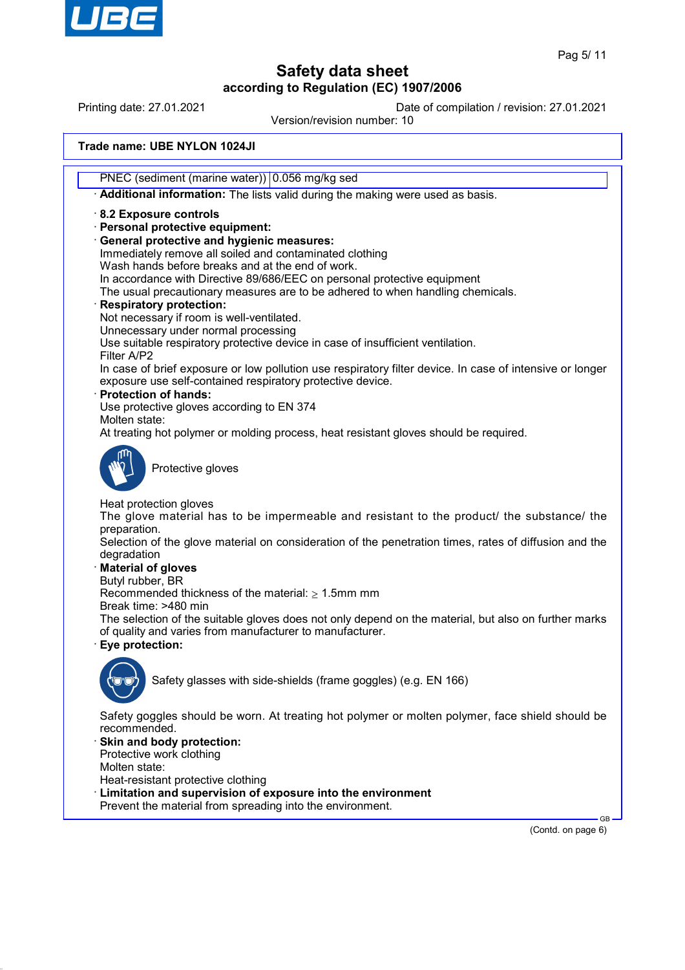

Printing date: 27.01.2021 Date of compilation / revision: 27.01.2021

Version/revision number: 10

**Trade name: UBE NYLON 1024JI**

PNEC (sediment (marine water)) 0.056 mg/kg sed

· **Additional information:** The lists valid during the making were used as basis.

· **8.2 Exposure controls**

· **Personal protective equipment:**

· **General protective and hygienic measures:**

Immediately remove all soiled and contaminated clothing

Wash hands before breaks and at the end of work.

In accordance with Directive 89/686/EEC on personal protective equipment

The usual precautionary measures are to be adhered to when handling chemicals.

### · **Respiratory protection:**

Not necessary if room is well-ventilated.

Unnecessary under normal processing

Use suitable respiratory protective device in case of insufficient ventilation.

Filter A/P2 In case of brief exposure or low pollution use respiratory filter device. In case of intensive or longer exposure use self-contained respiratory protective device.

· **Protection of hands:**

Use protective gloves according to EN 374

Molten state:

At treating hot polymer or molding process, heat resistant gloves should be required.



Protective gloves

Heat protection gloves

The glove material has to be impermeable and resistant to the product/ the substance/ the preparation.

Selection of the glove material on consideration of the penetration times, rates of diffusion and the degradation

· **Material of gloves**

Butyl rubber, BR

Recommended thickness of the material:  $\geq 1.5$ mm mm

Break time: >480 min

The selection of the suitable gloves does not only depend on the material, but also on further marks of quality and varies from manufacturer to manufacturer.

· **Eye protection:**



Safety glasses with side-shields (frame goggles) (e.g. EN 166)

Safety goggles should be worn. At treating hot polymer or molten polymer, face shield should be recommended.

Skin and body protection: Protective work clothing

Molten state:

Heat-resistant protective clothing

- Limitation and supervision of exposure into the environment
- Prevent the material from spreading into the environment.

(Contd. on page 6)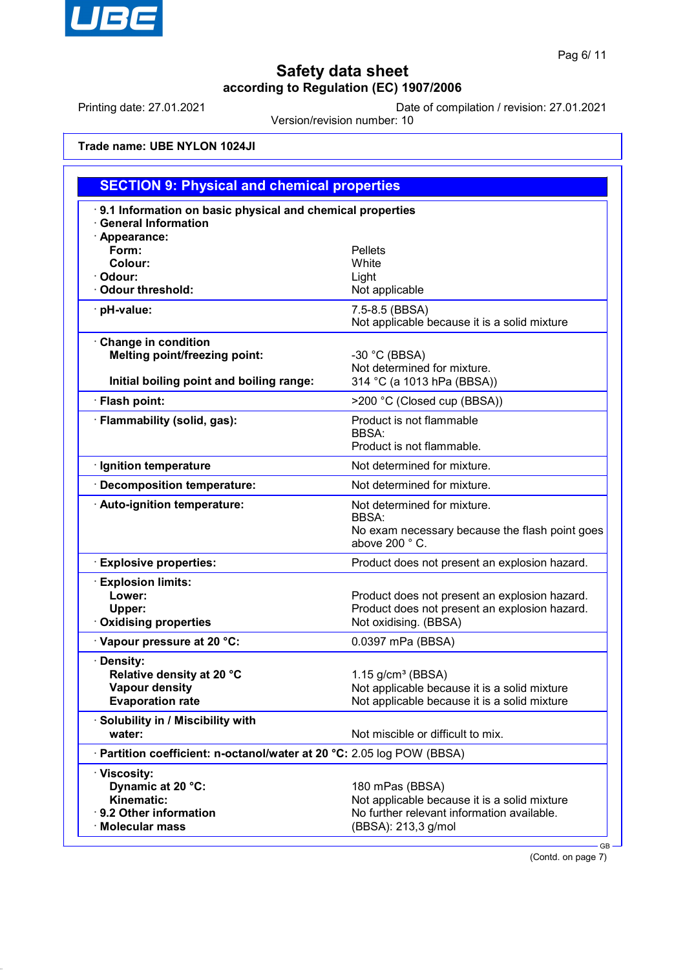

Printing date: 27.01.2021 Date of compilation / revision: 27.01.2021

Version/revision number: 10

**Trade name: UBE NYLON 1024JI**

| <b>SECTION 9: Physical and chemical properties</b>                                                             |                                                                                                                                      |  |
|----------------------------------------------------------------------------------------------------------------|--------------------------------------------------------------------------------------------------------------------------------------|--|
| 9.1 Information on basic physical and chemical properties<br><b>General Information</b>                        |                                                                                                                                      |  |
| · Appearance:<br>Form:<br>Colour:<br>· Odour:<br><b>Odour threshold:</b>                                       | <b>Pellets</b><br>White<br>Light<br>Not applicable                                                                                   |  |
| · pH-value:                                                                                                    | 7.5-8.5 (BBSA)<br>Not applicable because it is a solid mixture                                                                       |  |
| <b>Change in condition</b><br><b>Melting point/freezing point:</b><br>Initial boiling point and boiling range: | $-30$ °C (BBSA)<br>Not determined for mixture.<br>314 °C (a 1013 hPa (BBSA))                                                         |  |
| · Flash point:                                                                                                 | >200 °C (Closed cup (BBSA))                                                                                                          |  |
| · Flammability (solid, gas):                                                                                   | Product is not flammable<br><b>BBSA:</b><br>Product is not flammable.                                                                |  |
| · Ignition temperature                                                                                         | Not determined for mixture.                                                                                                          |  |
| Decomposition temperature:                                                                                     | Not determined for mixture.                                                                                                          |  |
| · Auto-ignition temperature:                                                                                   | Not determined for mixture.<br><b>BBSA:</b><br>No exam necessary because the flash point goes<br>above 200 °C.                       |  |
| <b>Explosive properties:</b>                                                                                   | Product does not present an explosion hazard.                                                                                        |  |
| <b>Explosion limits:</b><br>Lower:<br>Upper:<br><b>Oxidising properties</b>                                    | Product does not present an explosion hazard.<br>Product does not present an explosion hazard.<br>Not oxidising. (BBSA)              |  |
| Vapour pressure at 20 °C:                                                                                      | 0.0397 mPa (BBSA)                                                                                                                    |  |
| · Density:<br>Relative density at 20 °C<br><b>Vapour density</b><br><b>Evaporation rate</b>                    | $1.15$ g/cm <sup>3</sup> (BBSA)<br>Not applicable because it is a solid mixture<br>Not applicable because it is a solid mixture      |  |
| · Solubility in / Miscibility with<br>water:                                                                   | Not miscible or difficult to mix.                                                                                                    |  |
| · Partition coefficient: n-octanol/water at 20 °C: 2.05 log POW (BBSA)                                         |                                                                                                                                      |  |
| · Viscosity:<br>Dynamic at 20 °C:<br>Kinematic:<br>9.2 Other information<br>· Molecular mass                   | 180 mPas (BBSA)<br>Not applicable because it is a solid mixture<br>No further relevant information available.<br>(BBSA): 213,3 g/mol |  |

(Contd. on page 7)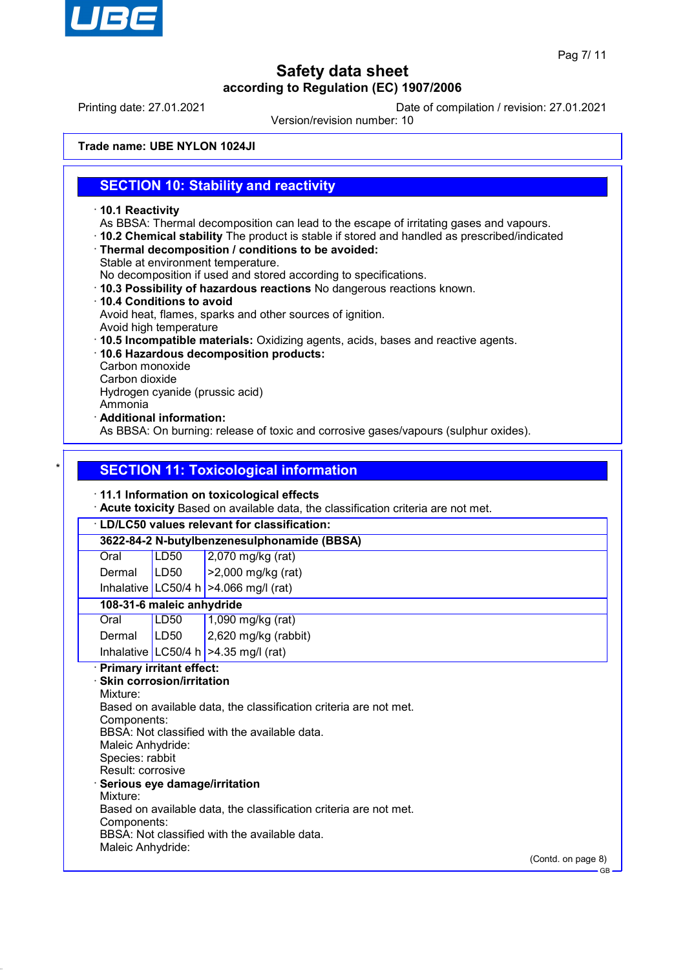

Printing date: 27.01.2021 Date of compilation / revision: 27.01.2021

Version/revision number: 10

**Trade name: UBE NYLON 1024JI**

### **SECTION 10: Stability and reactivity**

- · **10.1 Reactivity**
- As BBSA: Thermal decomposition can lead to the escape of irritating gases and vapours.
- · **10.2 Chemical stability** The product is stable if stored and handled as prescribed/indicated
- · **Thermal decomposition / conditions to be avoided:**
- Stable at environment temperature.

No decomposition if used and stored according to specifications.

- · **10.3 Possibility of hazardous reactions** No dangerous reactions known.
- · **10.4 Conditions to avoid** Avoid heat, flames, sparks and other sources of ignition.
- Avoid high temperature
- · **10.5 Incompatible materials:** Oxidizing agents, acids, bases and reactive agents.
- · **10.6 Hazardous decomposition products:**
- Carbon monoxide
- Carbon dioxide

Hydrogen cyanide (prussic acid)

- Ammonia
- · **Additional information:**

As BBSA: On burning: release of toxic and corrosive gases/vapours (sulphur oxides).

## **SECTION 11: Toxicological information**

### · **11.1 Information on toxicological effects**

· **Acute toxicity** Based on available data, the classification criteria are not met.

# · **LD/LC50 values relevant for classification:**

**3622-84-2 N-butylbenzenesulphonamide (BBSA)**

| Oral   | LD50 | $\vert$ 2,070 mg/kg (rat)  |
|--------|------|----------------------------|
| Dermal | LDS0 | $\vert$ >2,000 mg/kg (rat) |

Inhalative LC50/4 h  $>4.066$  mg/l (rat)

### **108-31-6 maleic anhydride**

| Oral          | LD50 | $1,090$ mg/kg (rat)                    |
|---------------|------|----------------------------------------|
| Dermal   LD50 |      | $2,620$ mg/kg (rabbit)                 |
|               |      | Inhalative LC50/4 h $>4.35$ mg/l (rat) |

### · **Primary irritant effect:**

· **Skin corrosion/irritation** Mixture: Based on available data, the classification criteria are not met. Components: BBSA: Not classified with the available data. Maleic Anhydride: Species: rabbit Result: corrosive · **Serious eye damage/irritation** Mixture: Based on available data, the classification criteria are not met. Components: BBSA: Not classified with the available data. Maleic Anhydride:

(Contd. on page 8)

GB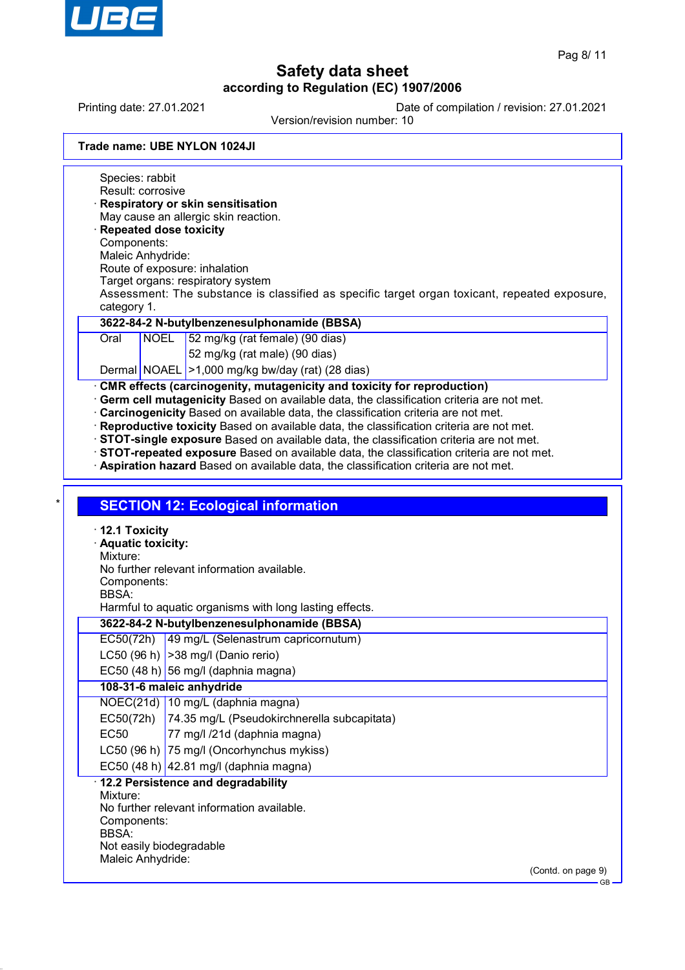

Printing date: 27.01.2021 Date of compilation / revision: 27.01.2021

Version/revision number: 10

| Trade name: UBE NYLON 1024JI |  |  |
|------------------------------|--|--|
|------------------------------|--|--|

Species: rabbit Result: corrosive · **Respiratory or skin sensitisation** May cause an allergic skin reaction. · **Repeated dose toxicity** Components: Maleic Anhydride: Route of exposure: inhalation Target organs: respiratory system Assessment: The substance is classified as specific target organ toxicant, repeated exposure, category 1. **3622-84-2 N-butylbenzenesulphonamide (BBSA)** Oral NOEL 52 mg/kg (rat female) (90 dias) 52 mg/kg (rat male) (90 dias) Dermal NOAEL >1,000 mg/kg bw/day (rat) (28 dias) · **CMR effects (carcinogenity, mutagenicity and toxicity for reproduction)** · **Germ cell mutagenicity** Based on available data, the classification criteria are not met. · **Carcinogenicity** Based on available data, the classification criteria are not met. · **Reproductive toxicity** Based on available data, the classification criteria are not met. · **STOT-single exposure** Based on available data, the classification criteria are not met. · **STOT-repeated exposure** Based on available data, the classification criteria are not met. · **Aspiration hazard** Based on available data, the classification criteria are not met. **SECTION 12: Ecological information** · **12.1 Toxicity** · **Aquatic toxicity:** Mixture: No further relevant information available. Components: BBSA: Harmful to aquatic organisms with long lasting effects. **3622-84-2 N-butylbenzenesulphonamide (BBSA)** EC50(72h) 49 mg/L (Selenastrum capricornutum) LC50 (96 h)  $|>$ 38 mg/l (Danio rerio) EC50 (48 h) 56 mg/l (daphnia magna) **108-31-6 maleic anhydride** NOEC(21d) 10 mg/L (daphnia magna) EC50(72h) 74.35 mg/L (Pseudokirchnerella subcapitata) EC50 77 mg/l /21d (daphnia magna) LC50 (96 h) 75 mg/l (Oncorhynchus mykiss) EC50 (48 h)  $|42.81 \text{ mg/}$  (daphnia magna) · **12.2 Persistence and degradability** Mixture: No further relevant information available. Components: BBSA: Not easily biodegradable Maleic Anhydride: (Contd. on page 9) GB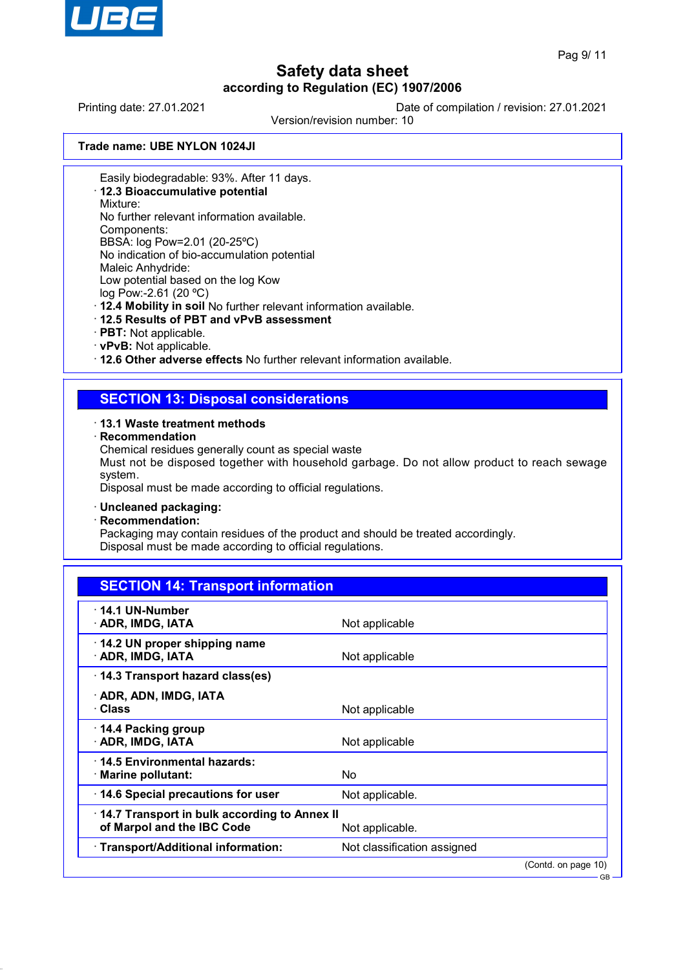

GB

# **Safety data sheet according to Regulation (EC) 1907/2006**

Printing date: 27.01.2021 Date of compilation / revision: 27.01.2021

Version/revision number: 10

**Trade name: UBE NYLON 1024JI**

Easily biodegradable: 93%. After 11 days.

· **12.3 Bioaccumulative potential**

Mixture:

No further relevant information available.

Components:

BBSA: log Pow=2.01 (20-25ºC) No indication of bio-accumulation potential

Maleic Anhydride:

Low potential based on the log Kow

log Pow:-2.61 (20 ºC)

· **12.4 Mobility in soil** No further relevant information available.

- · **12.5 Results of PBT and vPvB assessment**
- · **PBT:** Not applicable.
- · **vPvB:** Not applicable.

· **12.6 Other adverse effects** No further relevant information available.

## **SECTION 13: Disposal considerations**

### · **13.1 Waste treatment methods**

· **Recommendation**

Chemical residues generally count as special waste

Must not be disposed together with household garbage. Do not allow product to reach sewage system.

Disposal must be made according to official regulations.

### · **Uncleaned packaging:**

· **Recommendation:**

Packaging may contain residues of the product and should be treated accordingly. Disposal must be made according to official regulations.

| <b>SECTION 14: Transport information</b>                                   |                             |                     |
|----------------------------------------------------------------------------|-----------------------------|---------------------|
| $\cdot$ 14.1 UN-Number<br>· ADR, IMDG, IATA                                | Not applicable              |                     |
| 14.2 UN proper shipping name<br>· ADR, IMDG, IATA                          | Not applicable              |                     |
| 14.3 Transport hazard class(es)                                            |                             |                     |
| · ADR, ADN, IMDG, IATA<br>· Class                                          | Not applicable              |                     |
| $\cdot$ 14.4 Packing group<br>· ADR, IMDG, IATA                            | Not applicable              |                     |
| · 14.5 Environmental hazards:<br>$\cdot$ Marine pollutant:                 | No                          |                     |
| 14.6 Special precautions for user                                          | Not applicable.             |                     |
| 14.7 Transport in bulk according to Annex II<br>of Marpol and the IBC Code | Not applicable.             |                     |
| · Transport/Additional information:                                        | Not classification assigned |                     |
|                                                                            |                             | (Contd. on page 10) |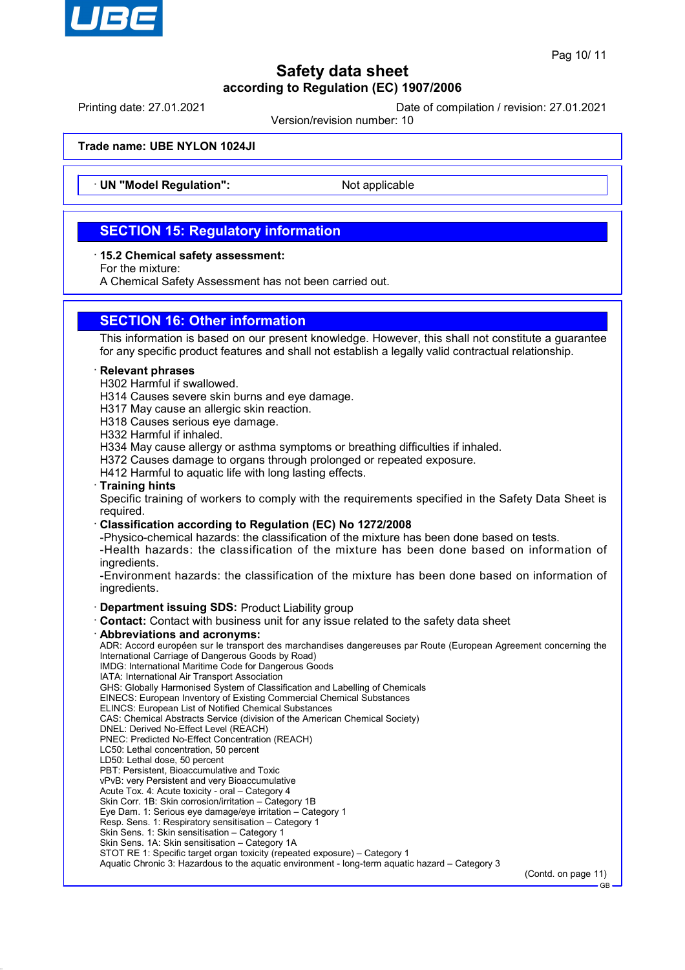

Printing date: 27.01.2021 Date of compilation / revision: 27.01.2021

Version/revision number: 10

**Trade name: UBE NYLON 1024JI**

**UN "Model Regulation":** Not applicable

## **SECTION 15: Regulatory information**

· **15.2 Chemical safety assessment:**

For the mixture:

A Chemical Safety Assessment has not been carried out.

## **SECTION 16: Other information**

This information is based on our present knowledge. However, this shall not constitute a guarantee for any specific product features and shall not establish a legally valid contractual relationship.

### · **Relevant phrases**

H302 Harmful if swallowed.

H314 Causes severe skin burns and eye damage.

H317 May cause an allergic skin reaction.

H318 Causes serious eye damage.

H332 Harmful if inhaled.

H334 May cause allergy or asthma symptoms or breathing difficulties if inhaled.

H372 Causes damage to organs through prolonged or repeated exposure.

H412 Harmful to aquatic life with long lasting effects.

### · **Training hints**

Specific training of workers to comply with the requirements specified in the Safety Data Sheet is required.

### · **Classification according to Regulation (EC) No 1272/2008**

-Physico-chemical hazards: the classification of the mixture has been done based on tests.

-Health hazards: the classification of the mixture has been done based on information of ingredients.

-Environment hazards: the classification of the mixture has been done based on information of ingredients.

· **Department issuing SDS:** Product Liability group

· **Contact:** Contact with business unit for any issue related to the safety data sheet

· **Abbreviations and acronyms:**

ADR: Accord européen sur le transport des marchandises dangereuses par Route (European Agreement concerning the International Carriage of Dangerous Goods by Road)

IMDG: International Maritime Code for Dangerous Goods

IATA: International Air Transport Association

GHS: Globally Harmonised System of Classification and Labelling of Chemicals EINECS: European Inventory of Existing Commercial Chemical Substances

ELINCS: European List of Notified Chemical Substances

CAS: Chemical Abstracts Service (division of the American Chemical Society)

DNEL: Derived No-Effect Level (REACH)

PNEC: Predicted No-Effect Concentration (REACH)

LC50: Lethal concentration, 50 percent

LD50: Lethal dose, 50 percent

PBT: Persistent, Bioaccumulative and Toxic

vPvB: very Persistent and very Bioaccumulative

Acute Tox. 4: Acute toxicity - oral – Category 4

Skin Corr. 1B: Skin corrosion/irritation – Category 1B

Eye Dam. 1: Serious eye damage/eye irritation – Category 1

Resp. Sens. 1: Respiratory sensitisation – Category 1

Skin Sens. 1: Skin sensitisation – Category 1 Skin Sens. 1A: Skin sensitisation – Category 1A

STOT RE 1: Specific target organ toxicity (repeated exposure) – Category 1

Aquatic Chronic 3: Hazardous to the aquatic environment - long-term aquatic hazard – Category 3

(Contd. on page 11)  $\overline{C}$